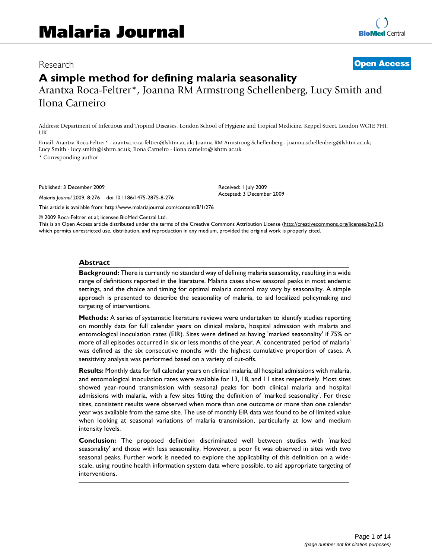# Research **[Open Access](http://www.biomedcentral.com/info/about/charter/)**

# **A simple method for defining malaria seasonality** Arantxa Roca-Feltrer\*, Joanna RM Armstrong Schellenberg, Lucy Smith and Ilona Carneiro

Address: Department of Infectious and Tropical Diseases, London School of Hygiene and Tropical Medicine, Keppel Street, London WC1E 7HT, **IK** 

Email: Arantxa Roca-Feltrer\* - arantxa.roca-feltrer@lshtm.ac.uk; Joanna RM Armstrong Schellenberg - joanna.schellenberg@lshtm.ac.uk; Lucy Smith - lucy.smith@lshtm.ac.uk; Ilona Carneiro - ilona.carneiro@lshtm.ac.uk

\* Corresponding author

Published: 3 December 2009

*Malaria Journal* 2009, **8**:276 doi:10.1186/1475-2875-8-276

[This article is available from: http://www.malariajournal.com/content/8/1/276](http://www.malariajournal.com/content/8/1/276)

Received: 1 July 2009 Accepted: 3 December 2009

© 2009 Roca-Feltrer et al; licensee BioMed Central Ltd.

This is an Open Access article distributed under the terms of the Creative Commons Attribution License [\(http://creativecommons.org/licenses/by/2.0\)](http://creativecommons.org/licenses/by/2.0), which permits unrestricted use, distribution, and reproduction in any medium, provided the original work is properly cited.

#### **Abstract**

**Background:** There is currently no standard way of defining malaria seasonality, resulting in a wide range of definitions reported in the literature. Malaria cases show seasonal peaks in most endemic settings, and the choice and timing for optimal malaria control may vary by seasonality. A simple approach is presented to describe the seasonality of malaria, to aid localized policymaking and targeting of interventions.

**Methods:** A series of systematic literature reviews were undertaken to identify studies reporting on monthly data for full calendar years on clinical malaria, hospital admission with malaria and entomological inoculation rates (EIR). Sites were defined as having 'marked seasonality' if 75% or more of all episodes occurred in six or less months of the year. A 'concentrated period of malaria' was defined as the six consecutive months with the highest cumulative proportion of cases. A sensitivity analysis was performed based on a variety of cut-offs.

**Results:** Monthly data for full calendar years on clinical malaria, all hospital admissions with malaria, and entomological inoculation rates were available for 13, 18, and 11 sites respectively. Most sites showed year-round transmission with seasonal peaks for both clinical malaria and hospital admissions with malaria, with a few sites fitting the definition of 'marked seasonality'. For these sites, consistent results were observed when more than one outcome or more than one calendar year was available from the same site. The use of monthly EIR data was found to be of limited value when looking at seasonal variations of malaria transmission, particularly at low and medium intensity levels.

**Conclusion:** The proposed definition discriminated well between studies with 'marked seasonality' and those with less seasonality. However, a poor fit was observed in sites with two seasonal peaks. Further work is needed to explore the applicability of this definition on a widescale, using routine health information system data where possible, to aid appropriate targeting of interventions.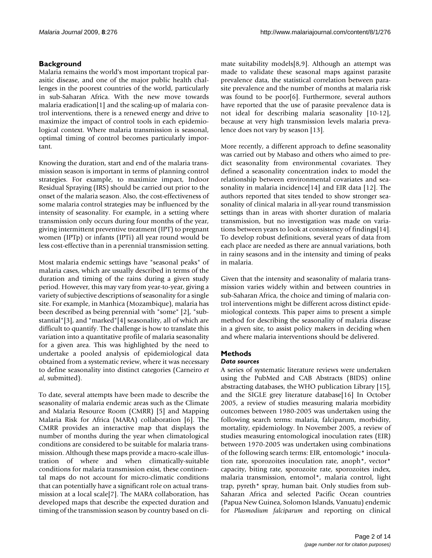# **Background**

Malaria remains the world's most important tropical parasitic disease, and one of the major public health challenges in the poorest countries of the world, particularly in sub-Saharan Africa. With the new move towards malaria eradication[\[1\]](#page-11-0) and the scaling-up of malaria control interventions, there is a renewed energy and drive to maximize the impact of control tools in each epidemiological context. Where malaria transmission is seasonal, optimal timing of control becomes particularly important.

Knowing the duration, start and end of the malaria transmission season is important in terms of planning control strategies. For example, to maximize impact, Indoor Residual Spraying (IRS) should be carried out prior to the onset of the malaria season. Also, the cost-effectiveness of some malaria control strategies may be influenced by the intensity of seasonality. For example, in a setting where transmission only occurs during four months of the year, giving intermittent preventive treatment (IPT) to pregnant women (IPTp) or infants (IPTi) all year round would be less cost-effective than in a perennial transmission setting.

Most malaria endemic settings have "seasonal peaks" of malaria cases, which are usually described in terms of the duration and timing of the rains during a given study period. However, this may vary from year-to-year, giving a variety of subjective descriptions of seasonality for a single site. For example, in Manhica (Mozambique), malaria has been described as being perennial with "some" [[2](#page-11-1)], "substantial"[[3](#page-11-2)], and "marked"[[4](#page-11-3)] seasonality, all of which are difficult to quantify. The challenge is how to translate this variation into a quantitative profile of malaria seasonality for a given area. This was highlighted by the need to undertake a pooled analysis of epidemiological data obtained from a systematic review, where it was necessary to define seasonality into distinct categories (Carneiro *et al*, submitted).

To date, several attempts have been made to describe the seasonality of malaria endemic areas such as the Climate and Malaria Resource Room (CMRR) [\[5\]](#page-11-4) and Mapping Malaria Risk for Africa (MARA) collaboration [\[6\]](#page-11-5). The CMRR provides an interactive map that displays the number of months during the year when climatological conditions are considered to be suitable for malaria transmission. Although these maps provide a macro-scale illustration of where and when climatically-suitable conditions for malaria transmission exist, these continental maps do not account for micro-climatic conditions that can potentially have a significant role on actual transmission at a local scale[[7](#page-11-6)]. The MARA collaboration, has developed maps that describe the expected duration and timing of the transmission season by country based on climate suitability models[\[8,](#page-11-7)[9](#page-11-8)]. Although an attempt was made to validate these seasonal maps against parasite prevalence data, the statistical correlation between parasite prevalence and the number of months at malaria risk was found to be poor[[6](#page-11-5)]. Furthermore, several authors have reported that the use of parasite prevalence data is not ideal for describing malaria seasonality [\[10](#page-11-9)[-12](#page-11-10)], because at very high transmission levels malaria prevalence does not vary by season [\[13](#page-11-11)].

More recently, a different approach to define seasonality was carried out by Mabaso and others who aimed to predict seasonality from environmental covariates. They defined a seasonality concentration index to model the relationship between environmental covariates and seasonality in malaria incidence[[14\]](#page-11-12) and EIR data [[12](#page-11-10)]. The authors reported that sites tended to show stronger seasonality of clinical malaria in all-year round transmission settings than in areas with shorter duration of malaria transmission, but no investigation was made on variations between years to look at consistency of findings[\[14](#page-11-12)]. To develop robust definitions, several years of data from each place are needed as there are annual variations, both in rainy seasons and in the intensity and timing of peaks in malaria.

Given that the intensity and seasonality of malaria transmission varies widely within and between countries in sub-Saharan Africa, the choice and timing of malaria control interventions might be different across distinct epidemiological contexts. This paper aims to present a simple method for describing the seasonality of malaria disease in a given site, to assist policy makers in deciding when and where malaria interventions should be delivered.

# **Methods**

#### *Data sources*

A series of systematic literature reviews were undertaken using the PubMed and CAB Abstracts (BIDS) online abstracting databases, the WHO publication Library [\[15](#page-11-13)], and the SIGLE grey literature database[\[16\]](#page-11-14) In October 2005, a review of studies measuring malaria morbidity outcomes between 1980-2005 was undertaken using the following search terms: malaria, falciparum, morbidity, mortality, epidemiology. In November 2005, a review of studies measuring entomological inoculation rates (EIR) between 1970-2005 was undertaken using combinations of the following search terms: EIR, entomologic\* inoculation rate, sporozoites inoculation rate, anoph\*, vector\* capacity, biting rate, sporozoite rate, sporozoites index, malaria transmission, entomol\*, malaria control, light trap, pyreth\* spray, human bait. Only studies from sub-Saharan Africa and selected Pacific Ocean countries (Papua New Guinea, Solomon Islands, Vanuatu) endemic for *Plasmodium falciparum* and reporting on clinical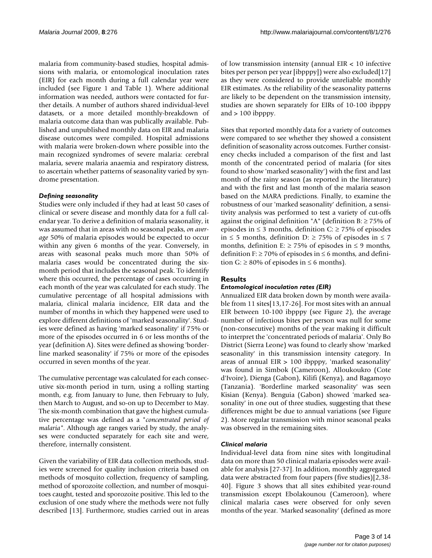malaria from community-based studies, hospital admissions with malaria, or entomological inoculation rates (EIR) for each month during a full calendar year were included (see Figure [1](#page-4-0) and Table [1](#page-3-0)). Where additional information was needed, authors were contacted for further details. A number of authors shared individual-level datasets, or a more detailed monthly-breakdown of malaria outcome data than was publically available. Published and unpublished monthly data on EIR and malaria disease outcomes were compiled. Hospital admissions with malaria were broken-down where possible into the main recognized syndromes of severe malaria: cerebral malaria, severe malaria anaemia and respiratory distress, to ascertain whether patterns of seasonality varied by syndrome presentation.

#### *Defining seasonality*

Studies were only included if they had at least 50 cases of clinical or severe disease and monthly data for a full calendar year. To derive a definition of malaria seasonality, it was assumed that in areas with no seasonal peaks, *on average* 50% of malaria episodes would be expected to occur within any given 6 months of the year. Conversely, in areas with seasonal peaks much more than 50% of malaria cases would be concentrated during the sixmonth period that includes the seasonal peak. To identify where this occurred, the percentage of cases occurring in each month of the year was calculated for each study. The cumulative percentage of all hospital admissions with malaria, clinical malaria incidence, EIR data and the number of months in which they happened were used to explore different definitions of 'marked seasonality'. Studies were defined as having 'marked seasonality' if 75% or more of the episodes occurred in 6 or less months of the year (definition A). Sites were defined as showing 'borderline marked seasonality' if 75% or more of the episodes occurred in seven months of the year.

The cumulative percentage was calculated for each consecutive six-month period in turn, using a rolling starting month, e.g. from January to June, then February to July, then March to August, and so-on up to December to May. The six-month combination that gave the highest cumulative percentage was defined as a "*concentrated period of malaria"*. Although age ranges varied by study, the analyses were conducted separately for each site and were, therefore, internally consistent.

Given the variability of EIR data collection methods, studies were screened for quality inclusion criteria based on methods of mosquito collection, frequency of sampling, method of sporozoite collection, and number of mosquitoes caught, tested and sporozoite positive. This led to the exclusion of one study where the methods were not fully described [[13\]](#page-11-11). Furthermore, studies carried out in areas

of low transmission intensity (annual EIR < 10 infective bites per person per year [ibpppy]) were also excluded[[17\]](#page-11-15) as they were considered to provide unreliable monthly EIR estimates. As the reliability of the seasonality patterns are likely to be dependent on the transmission intensity, studies are shown separately for EIRs of 10-100 ibpppy and  $> 100$  ibpppy.

Sites that reported monthly data for a variety of outcomes were compared to see whether they showed a consistent definition of seasonality across outcomes. Further consistency checks included a comparison of the first and last month of the concentrated period of malaria (for sites found to show 'marked seasonality') with the first and last month of the rainy season (as reported in the literature) and with the first and last month of the malaria season based on the MARA predictions. Finally, to examine the robustness of our 'marked seasonality' definition, a sensitivity analysis was performed to test a variety of cut-offs against the original definition "A" (definition B:  $\geq$  75% of episodes in  $\leq$  3 months, definition C:  $\geq$  75% of episodes in ≤ 5 months, definition D: ≥ 75% of episodes in ≤ 7 months, definition E:  $\geq$  75% of episodes in  $\leq$  9 months, definition F:  $\geq$  70% of episodes in  $\leq$  6 months, and definition G:  $\geq$  80% of episodes in  $\leq$  6 months).

# **Results**

# *Entomological inoculation rates (EIR)*

Annualized EIR data broken down by month were available from 11 sites[\[13](#page-11-11),[17-](#page-11-15)[26\]](#page-11-16). For most sites with an annual EIR between 10-100 ibpppy (see Figure [2](#page-5-0)), the average number of infectious bites per person was null for some (non-consecutive) months of the year making it difficult to interpret the 'concentrated periods of malaria'. Only Bo District (Sierra Leone) was found to clearly show 'marked seasonality' in this transmission intensity category. In areas of annual  $EIR > 100$  ibpppy, 'marked seasonality' was found in Simbok (Cameroon), Alloukoukro (Cote d'Ivoire), Dienga (Gabon), Kilifi (Kenya), and Bagamoyo (Tanzania). 'Borderline marked seasonality' was seen Kisian (Kenya). Benguia (Gabon) showed 'marked seasonality' in one out of three studies, suggesting that these differences might be due to annual variations (see Figure [2](#page-5-0)). More regular transmission with minor seasonal peaks was observed in the remaining sites.

# *Clinical malaria*

Individual-level data from nine sites with longitudinal data on more than 50 clinical malaria episodes were available for analysis [[27-](#page-12-0)[37\]](#page-12-1). In addition, monthly aggregated data were abstracted from four papers (five studies)[\[2,](#page-11-1)[38-](#page-12-2) [40\]](#page-12-3). Figure [3](#page-6-0) shows that all sites exhibited year-round transmission except Ebolakounou (Cameroon), where clinical malaria cases were observed for only seven months of the year. 'Marked seasonality' (defined as more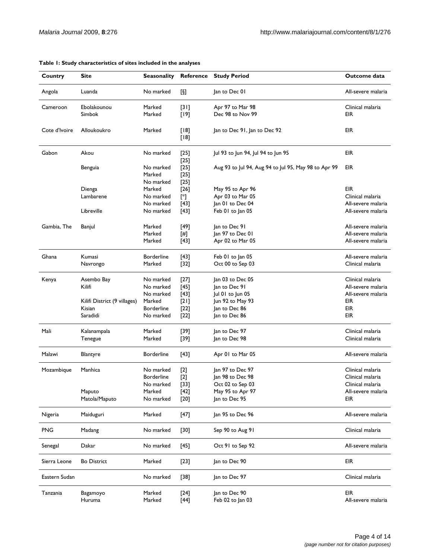| Country       | <b>Site</b>                  | Seasonality         | Reference        | <b>Study Period</b>                                  | Outcome data                     |
|---------------|------------------------------|---------------------|------------------|------------------------------------------------------|----------------------------------|
| Angola        | Luanda                       | No marked           | [§]              | Jan to Dec 01                                        | All-severe malaria               |
| Cameroon      | Ebolakounou                  | Marked              | [31]             | Apr 97 to Mar 98                                     | Clinical malaria                 |
|               | Simbok                       | Marked              | [19]             | Dec 98 to Nov 99                                     | <b>EIR</b>                       |
| Cote d'Ivoire | Alloukoukro                  | Marked              | $[18]$<br>$[18]$ | Jan to Dec 91, Jan to Dec 92                         | EIR                              |
| Gabon         | Akou                         | No marked           | $[25]$<br>$[25]$ | Jul 93 to Jun 94, Jul 94 to Jun 95                   | EIR                              |
|               | Benguia                      | No marked<br>Marked | $[25]$<br>$[25]$ | Aug 93 to Jul 94, Aug 94 to Jul 95, May 98 to Apr 99 | EIR                              |
|               |                              | No marked           | $[25]$           |                                                      |                                  |
|               | Dienga                       | Marked              | $[26]$           | May 95 to Apr 96                                     | EIR                              |
|               | Lambarene                    | No marked           | ľ1               | Apr 03 to Mar 05                                     | Clinical malaria                 |
|               |                              | No marked           | $[43]$           | Jan 01 to Dec 04                                     | All-severe malaria               |
|               | Libreville                   | No marked           | $[43]$           | Feb 01 to Jan 05                                     | All-severe malaria               |
| Gambia, The   | Banjul                       | Marked              | $[49]$           | Jan to Dec 91                                        | All-severe malaria               |
|               |                              | Marked              | [#]              | Jan 97 to Dec 01                                     | All-severe malaria               |
|               |                              | Marked              | $[43]$           | Apr 02 to Mar 05                                     | All-severe malaria               |
| Ghana         | Kumasi                       | <b>Borderline</b>   | $[43]$           | Feb 01 to Jan 05                                     | All-severe malaria               |
|               | Navrongo                     | Marked              | $[32]$           | Oct 00 to Sep 03                                     | Clinical malaria                 |
| Kenya         | Asembo Bay                   | No marked           | $[27]$           | Jan 03 to Dec 05                                     | Clinical malaria                 |
|               | Kilifi                       | No marked           | $[45]$           | Jan to Dec 91                                        | All-severe malaria               |
|               |                              | No marked           | $[43]$           | Jul 01 to Jun 05                                     | All-severe malaria               |
|               | Kilifi District (9 villages) | Marked              | $[2]$            | Jun 92 to May 93                                     | EIR                              |
|               | Kisian                       | <b>Borderline</b>   | $[22]$           | Jan to Dec 86                                        | EIR                              |
|               | Saradidi                     | No marked           | $[22]$           | Jan to Dec 86                                        | EIR                              |
| Mali          | Kalanampala                  | Marked              | $[39]$           | Jan to Dec 97                                        | Clinical malaria                 |
|               | Tenegue                      | Marked              | $[39]$           | Jan to Dec 98                                        | Clinical malaria                 |
| Malawi        | Blantyre                     | Borderline          | $[43]$           | Apr 01 to Mar 05                                     | All-severe malaria               |
| Mozambique    | Manhica                      | No marked           | $[2]$            | Jan 97 to Dec 97                                     | Clinical malaria                 |
|               |                              | <b>Borderline</b>   | $[2]$            | Jan 98 to Dec 98                                     | Clinical malaria                 |
|               |                              | No marked           | $[33]$           | Oct 02 to Sep 03                                     | Clinical malaria                 |
|               | Maputo                       | Marked              | $[42]$           | May 95 to Apr 97                                     | All-severe malaria               |
|               | Matola/Maputo                | No marked           | $[20]$           | Jan to Dec 95                                        | EIR                              |
| Nigeria       | Maiduguri                    | Marked              | $[47]$           | Jan 95 to Dec 96                                     | All-severe malaria               |
| <b>PNG</b>    | Madang                       | No marked           | [30]             | Sep 90 to Aug 91                                     | Clinical malaria                 |
| Senegal       | Dakar                        | No marked           | $[45]$           | Oct 91 to Sep 92                                     | All-severe malaria               |
| Sierra Leone  | <b>Bo District</b>           | Marked              | $[23]$           | Jan to Dec 90                                        | EIR                              |
| Eastern Sudan |                              | No marked           | $[38]$           | Jan to Dec 97                                        | Clinical malaria                 |
| Tanzania      | Bagamoyo<br>Huruma           | Marked<br>Marked    | $[24]$<br>$[44]$ | Jan to Dec 90<br>Feb 02 to Jan 03                    | <b>EIR</b><br>All-severe malaria |

#### <span id="page-3-0"></span>**Table 1: Study characteristics of sites included in the analyses**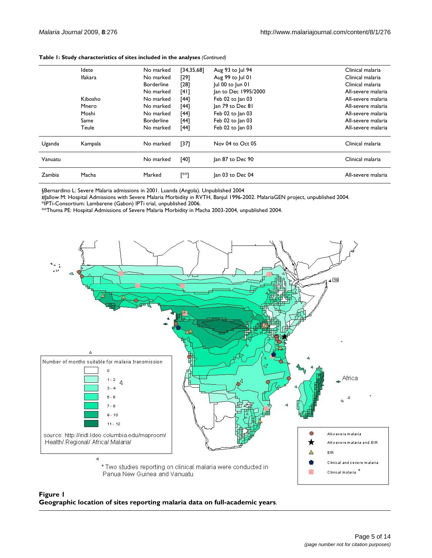|         | Idete          | No marked         | [34, 35, 68] | Aug 93 to Jul 94     | Clinical malaria   |
|---------|----------------|-------------------|--------------|----------------------|--------------------|
|         | <b>Ifakara</b> | No marked         | [29]         | Aug 99 to Jul 01     | Clinical malaria   |
|         |                | <b>Borderline</b> | $[28]$       | Jul 00 to Jun 01     | Clinical malaria   |
|         |                | No marked         | [41]         | Jan to Dec 1995/2000 | All-severe malaria |
|         | Kibosho        | No marked         | [44]         | Feb 02 to Jan 03     | All-severe malaria |
|         | Mnero          | No marked         | [44]         | Jan 79 to Dec 81     | All-severe malaria |
|         | Moshi          | No marked         | [44]         | Feb 02 to Jan 03     | All-severe malaria |
|         | Same           | <b>Borderline</b> | [44]         | Feb 02 to Jan 03     | All-severe malaria |
|         | Teule          | No marked         | [44]         | Feb 02 to Jan 03     | All-severe malaria |
| Uganda  | Kampala        | No marked         | $[37]$       | Nov 04 to Oct 05     | Clinical malaria   |
| Vanuatu |                | No marked         | [40]         | Jan 87 to Dec 90     | Clinical malaria   |
| Zambia  | Macha          | Marked            | [**]         | Jan 03 to Dec 04     | All-severe malaria |

#### **Table 1: Study characteristics of sites included in the analyses** *(Continued)*

§Bernardino L: Severe Malaria admissions in 2001. Luanda (Angola). Unpublished 2004

#Jallow M: Hospital Admissions with Severe Malaria Morbidity in RVTH, Banjul 1996-2002. MalariaGEN project, unpublished 2004. \*IPTi-Consortium: Lambarene (Gabon) IPTi trial, unpublished 2006.

\*\*Thuma PE: Hospital Admissions of Severe Malaria Morbidity in Macha 2003-2004, unpublished 2004.

<span id="page-4-0"></span>

Figure 1 **Geographic location of sites reporting malaria data on full-academic years**.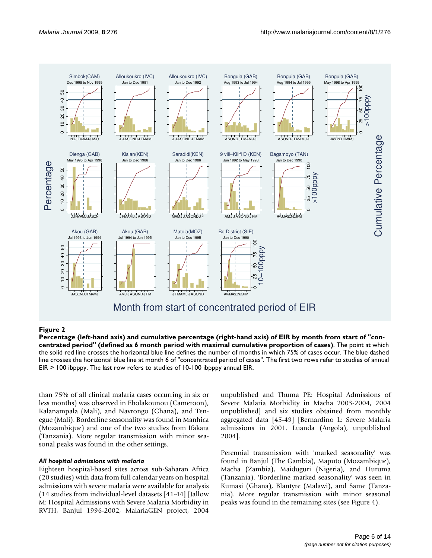<span id="page-5-0"></span>

#### Percentage (left-hand axis) and (defined as 6 month period with maxi **Figure 2** cumulative percentage (right-hand axis) of EIR mal cumulative proportion of cases) by month from start of "concentrated period"

**Percentage (left-hand axis) and cumulative percentage (right-hand axis) of EIR by month from start of "concentrated period" (defined as 6 month period with maximal cumulative proportion of cases)**. The point at which the solid red line crosses the horizontal blue line defines the number of months in which 75% of cases occur. The blue dashed line crosses the horizontal blue line at month 6 of "concentrated period of cases". The first two rows refer to studies of annual EIR > 100 ibpppy. The last row refers to studies of 10-100 ibpppy annual EIR.

than 75% of all clinical malaria cases occurring in six or less months) was observed in Ebolakounou (Cameroon), Kalanampala (Mali), and Navrongo (Ghana), and Tenegue (Mali). Borderline seasonality was found in Manhica (Mozambique) and one of the two studies from Ifakara (Tanzania). More regular transmission with minor seasonal peaks was found in the other settings.

#### *All hospital admissions with malaria*

Eighteen hospital-based sites across sub-Saharan Africa (20 studies) with data from full calendar years on hospital admissions with severe malaria were available for analysis (14 studies from individual-level datasets [[41](#page-12-19)[-44](#page-12-14)] [Jallow M: Hospital Admissions with Severe Malaria Morbidity in RVTH, Banjul 1996-2002, MalariaGEN project, 2004

unpublished and Thuma PE: Hospital Admissions of Severe Malaria Morbidity in Macha 2003-2004, 2004 unpublished] and six studies obtained from monthly aggregated data [\[45-](#page-12-8)[49\]](#page-12-6) [Bernardino L: Severe Malaria admissions in 2001. Luanda (Angola), unpublished 2004].

Perennial transmission with 'marked seasonality' was found in Banjul (The Gambia), Maputo (Mozambique), Macha (Zambia), Maiduguri (Nigeria), and Huruma (Tanzania). 'Borderline marked seasonality' was seen in Kumasi (Ghana), Blantyre (Malawi), and Same (Tanzania). More regular transmission with minor seasonal peaks was found in the remaining sites (see Figure [4](#page-7-0)).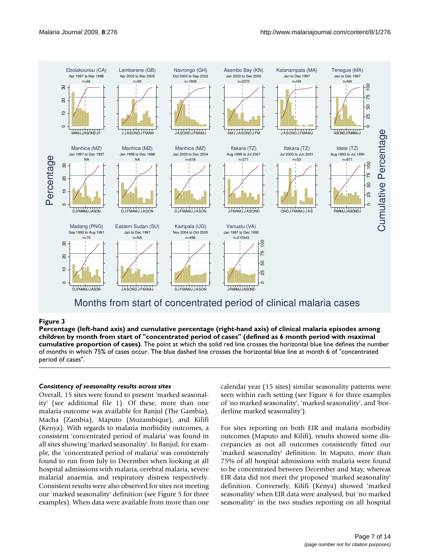<span id="page-6-0"></span>

**Figure 3** Production of the contract of the contract of the contract of the contract of the contract of the contract of the contract of the contract of the contract of the contract of the contract of the contract of the c **Percentage (left-hand axis) and cumulative percentage (right-hand axis) of clinical malaria episodes among children by month from start of "concentrated period of cases" (defined as 6 month period with maximal cumulative proportion of cases)**. The point at which the solid red line crosses the horizontal blue line defines the number of months in which 75% of cases occur. The blue dashed line crosses the horizontal blue line at month 6 of "concentrated period of cases".

#### *Consistency of seasonality results across sites*

Overall, 15 sites were found to present 'marked seasonality' (see additional file [1](#page-11-25)). Of these, more than one malaria outcome was available for Banjul (The Gambia), Macha (Zambia), Maputo (Mozambique), and Kilifi (Kenya). With regards to malaria morbidity outcomes, a consistent 'concentrated period of malaria' was found in all sites showing 'marked seasonality'. In Banjul, for example, the 'concentrated period of malaria' was consistently found to run from July to December when looking at all hospital admissions with malaria, cerebral malaria, severe malarial anaemia, and respiratory distress respectively. Consistent results were also observed for sites not meeting our 'marked seasonality' definition (see Figure [5](#page-8-0) for three examples). When data were available from more than one calendar year (15 sites) similar seasonality patterns were seen within each setting (see Figure [6](#page-9-0) for three examples of 'no marked seasonality', 'marked seasonality', and 'borderline marked seasonality').

For sites reporting on both EIR and malaria morbidity outcomes (Maputo and Kilifi), results showed some discrepancies as not all outcomes consistently fitted our 'marked seasonality' definition. In Maputo, more than 75% of all hospital admissions with malaria were found to be concentrated between December and May, whereas EIR data did not meet the proposed 'marked seasonality' definition. Conversely, Kilifi (Kenya) showed 'marked seasonality' when EIR data were analysed, but 'no marked seasonality' in the two studies reporting on all hospital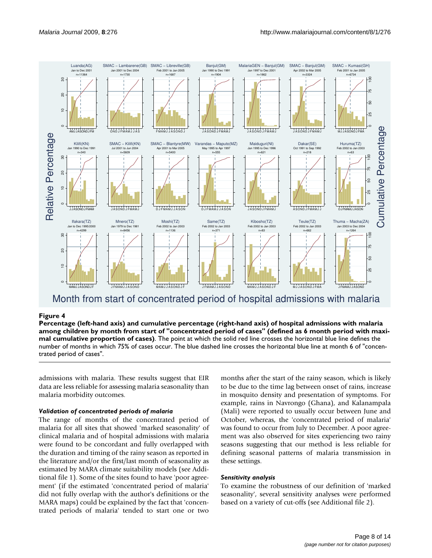<span id="page-7-0"></span>

# Month from start of concentrated period of hospital admissions with malaria

#### **Figure 4** Production of the contract of the contract of the contract of the contract of the contract of the contract of the contract of the contract of the contract of the contract of the contract of the contract of the c

**Percentage (left-hand axis) and cumulative percentage (right-hand axis) of hospital admissions with malaria among children by month from start of "concentrated period of cases" (defined as 6 month period with maximal cumulative proportion of cases)**. The point at which the solid red line crosses the horizontal blue line defines the number of months in which 75% of cases occur. The blue dashed line crosses the horizontal blue line at month 6 of "concentrated period of cases".

admissions with malaria. These results suggest that EIR data are less reliable for assessing malaria seasonality than malaria morbidity outcomes.

#### *Validation of concentrated periods of malaria*

The range of months of the concentrated period of malaria for all sites that showed 'marked seasonality' of clinical malaria and of hospital admissions with malaria were found to be concordant and fully overlapped with the duration and timing of the rainy season as reported in the literature and/or the first/last month of seasonality as estimated by MARA climate suitability models (see Additional file [1](#page-11-25)). Some of the sites found to have 'poor agreement' (if the estimated 'concentrated period of malaria' did not fully overlap with the author's definitions or the MARA maps) could be explained by the fact that 'concentrated periods of malaria' tended to start one or two

months after the start of the rainy season, which is likely to be due to the time lag between onset of rains, increase in mosquito density and presentation of symptoms. For example, rains in Navrongo (Ghana), and Kalanampala (Mali) were reported to usually occur between June and October, whereas, the 'concentrated period of malaria' was found to occur from July to December. A poor agreement was also observed for sites experiencing two rainy seasons suggesting that our method is less reliable for defining seasonal patterns of malaria transmission in these settings.

#### *Sensitivity analysis*

To examine the robustness of our definition of 'marked seasonality', several sensitivity analyses were performed based on a variety of cut-offs (see Additional file [2\)](#page-11-26).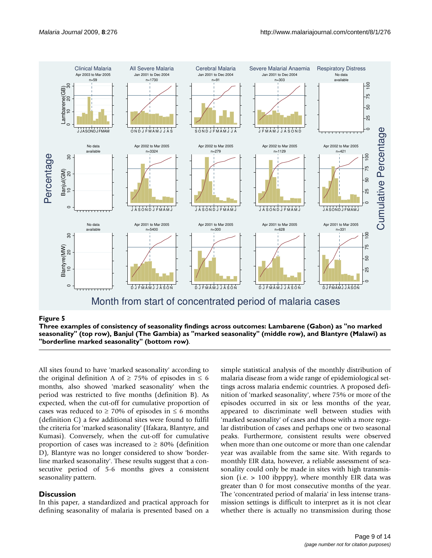<span id="page-8-0"></span>![](_page_8_Figure_2.jpeg)

Three examples of consistency of seasonality findings across row), Banjul (The Gambia) as "marked seasonality" (middle ro (bottom row) **Figure 5** outcomes: Lambarene (Gabon) as "no marked seasonality" (top w), and Blantyre (Malawi) as "borderline marked seasonality"

**Three examples of consistency of seasonality findings across outcomes: Lambarene (Gabon) as "no marked seasonality" (top row), Banjul (The Gambia) as "marked seasonality" (middle row), and Blantyre (Malawi) as "borderline marked seasonality" (bottom row)**.

All sites found to have 'marked seasonality' according to the original definition A of  $\geq$  75% of episodes in  $\leq$  6 months, also showed 'marked seasonality' when the period was restricted to five months (definition B). As expected, when the cut-off for cumulative proportion of cases was reduced to  $\geq 70\%$  of episodes in  $\leq 6$  months (definition C) a few additional sites were found to fulfil the criteria for 'marked seasonality' (Ifakara, Blantyre, and Kumasi). Conversely, when the cut-off for cumulative proportion of cases was increased to  $\geq 80\%$  (definition D), Blantyre was no longer considered to show 'borderline marked seasonality'. These results suggest that a consecutive period of 5-6 months gives a consistent seasonality pattern.

#### **Discussion**

In this paper, a standardized and practical approach for defining seasonality of malaria is presented based on a simple statistical analysis of the monthly distribution of malaria disease from a wide range of epidemiological settings across malaria endemic countries. A proposed definition of 'marked seasonality', where 75% or more of the episodes occurred in six or less months of the year, appeared to discriminate well between studies with 'marked seasonality' of cases and those with a more regular distribution of cases and perhaps one or two seasonal peaks. Furthermore, consistent results were observed when more than one outcome or more than one calendar year was available from the same site. With regards to monthly EIR data, however, a reliable assessment of seasonality could only be made in sites with high transmission (i.e.  $> 100$  ibpppy), where monthly EIR data was greater than 0 for most consecutive months of the year. The 'concentrated period of malaria' in less intense transmission settings is difficult to interpret as it is not clear whether there is actually no transmission during those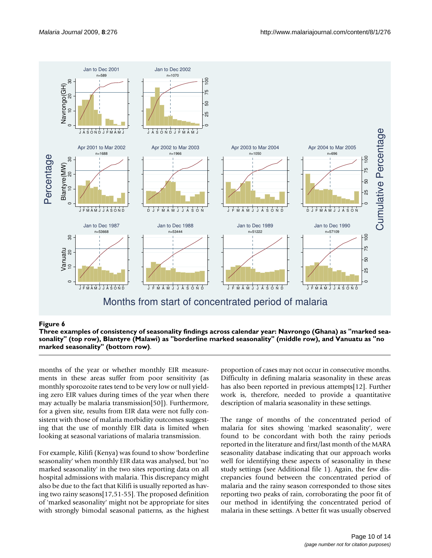<span id="page-9-0"></span>![](_page_9_Figure_2.jpeg)

#### Figure 6  $\,$

**Three examples of consistency of seasonality findings across calendar year: Navrongo (Ghana) as "marked seasonality" (top row), Blantyre (Malawi) as "borderline marked seasonality" (middle row), and Vanuatu as "no marked seasonality" (bottom row)**.

months of the year or whether monthly EIR measurements in these areas suffer from poor sensitivity (as monthly sporozoite rates tend to be very low or null yielding zero EIR values during times of the year when there may actually be malaria transmission[\[50\]](#page-12-20)). Furthermore, for a given site, results from EIR data were not fully consistent with those of malaria morbidity outcomes suggesting that the use of monthly EIR data is limited when looking at seasonal variations of malaria transmission.

For example, Kilifi (Kenya) was found to show 'borderline seasonality' when monthly EIR data was analysed, but 'no marked seasonality' in the two sites reporting data on all hospital admissions with malaria. This discrepancy might also be due to the fact that Kilifi is usually reported as having two rainy seasons[\[17](#page-11-15)[,51](#page-12-21)[-55](#page-12-22)]. The proposed definition of 'marked seasonality' might not be appropriate for sites with strongly bimodal seasonal patterns, as the highest proportion of cases may not occur in consecutive months. Difficulty in defining malaria seasonality in these areas has also been reported in previous attempts[[12](#page-11-10)]. Further work is, therefore, needed to provide a quantitative description of malaria seasonality in these settings.

The range of months of the concentrated period of malaria for sites showing 'marked seasonality', were found to be concordant with both the rainy periods reported in the literature and first/last month of the MARA seasonality database indicating that our approach works well for identifying these aspects of seasonality in these study settings (see Additional file [1](#page-11-25)). Again, the few discrepancies found between the concentrated period of malaria and the rainy season corresponded to those sites reporting two peaks of rain, corroborating the poor fit of our method in identifying the concentrated period of malaria in these settings. A better fit was usually observed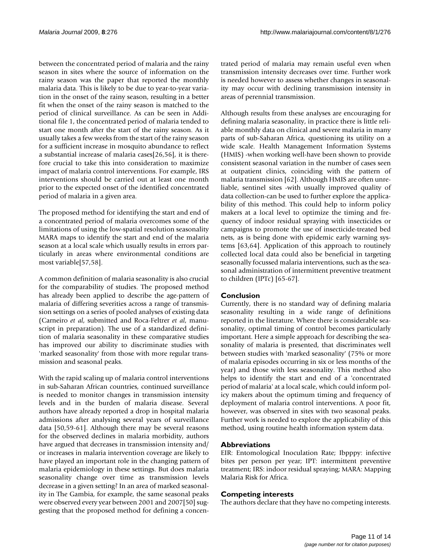between the concentrated period of malaria and the rainy season in sites where the source of information on the rainy season was the paper that reported the monthly malaria data. This is likely to be due to year-to-year variation in the onset of the rainy season, resulting in a better fit when the onset of the rainy season is matched to the period of clinical surveillance. As can be seen in Additional file [1](#page-11-25), the concentrated period of malaria tended to start one month after the start of the rainy season. As it usually takes a few weeks from the start of the rainy season for a sufficient increase in mosquito abundance to reflect a substantial increase of malaria cases[[26,](#page-11-16)[56\]](#page-12-23), it is therefore crucial to take this into consideration to maximize impact of malaria control interventions. For example, IRS interventions should be carried out at least one month prior to the expected onset of the identified concentrated period of malaria in a given area.

The proposed method for identifying the start and end of a concentrated period of malaria overcomes some of the limitations of using the low-spatial resolution seasonality MARA maps to identify the start and end of the malaria season at a local scale which usually results in errors particularly in areas where environmental conditions are most variable[\[57](#page-12-24),[58\]](#page-12-25).

A common definition of malaria seasonality is also crucial for the comparability of studies. The proposed method has already been applied to describe the age-pattern of malaria of differing severities across a range of transmission settings on a series of pooled analyses of existing data (Carneiro *et al*, submitted and Roca-Feltrer *et al*, manuscript in preparation). The use of a standardized definition of malaria seasonality in these comparative studies has improved our ability to discriminate studies with 'marked seasonality' from those with more regular transmission and seasonal peaks.

With the rapid scaling up of malaria control interventions in sub-Saharan African countries, continued surveillance is needed to monitor changes in transmission intensity levels and in the burden of malaria disease. Several authors have already reported a drop in hospital malaria admissions after analysing several years of surveillance data [\[50](#page-12-20),[59-](#page-12-26)[61](#page-13-1)]. Although there may be several reasons for the observed declines in malaria morbidity, authors have argued that decreases in transmission intensity and/ or increases in malaria intervention coverage are likely to have played an important role in the changing pattern of malaria epidemiology in these settings. But does malaria seasonality change over time as transmission levels decrease in a given setting? In an area of marked seasonality in The Gambia, for example, the same seasonal peaks were observed every year between 2001 and 2007[[50\]](#page-12-20) suggesting that the proposed method for defining a concentrated period of malaria may remain useful even when transmission intensity decreases over time. Further work is needed however to assess whether changes in seasonality may occur with declining transmission intensity in areas of perennial transmission.

Although results from these analyses are encouraging for defining malaria seasonality, in practice there is little reliable monthly data on clinical and severe malaria in many parts of sub-Saharan Africa, questioning its utility on a wide scale. Health Management Information Systems (HMIS) -when working well-have been shown to provide consistent seasonal variation in the number of cases seen at outpatient clinics, coinciding with the pattern of malaria transmission [\[62](#page-13-2)]. Although HMIS are often unreliable, sentinel sites -with usually improved quality of data collection-can be used to further explore the applicability of this method. This could help to inform policy makers at a local level to optimize the timing and frequency of indoor residual spraying with insecticides or campaigns to promote the use of insecticide-treated bed nets, as is being done with epidemic early warning systems [\[63](#page-13-3),[64\]](#page-13-4). Application of this approach to routinely collected local data could also be beneficial in targeting seasonally focussed malaria interventions, such as the seasonal administration of intermittent preventive treatment to children (IPTc) [[65-](#page-13-5)[67\]](#page-13-6).

# **Conclusion**

Currently, there is no standard way of defining malaria seasonality resulting in a wide range of definitions reported in the literature. Where there is considerable seasonality, optimal timing of control becomes particularly important. Here a simple approach for describing the seasonality of malaria is presented, that discriminates well between studies with 'marked seasonality' (75% or more of malaria episodes occurring in six or less months of the year) and those with less seasonality. This method also helps to identify the start and end of a 'concentrated period of malaria' at a local scale, which could inform policy makers about the optimum timing and frequency of deployment of malaria control interventions. A poor fit, however, was observed in sites with two seasonal peaks. Further work is needed to explore the applicability of this method, using routine health information system data.

#### **Abbreviations**

EIR: Entomological Inoculation Rate; Ibpppy: infective bites per person per year; IPT: intermittent preventive treatment; IRS: indoor residual spraying; MARA: Mapping Malaria Risk for Africa.

#### **Competing interests**

The authors declare that they have no competing interests.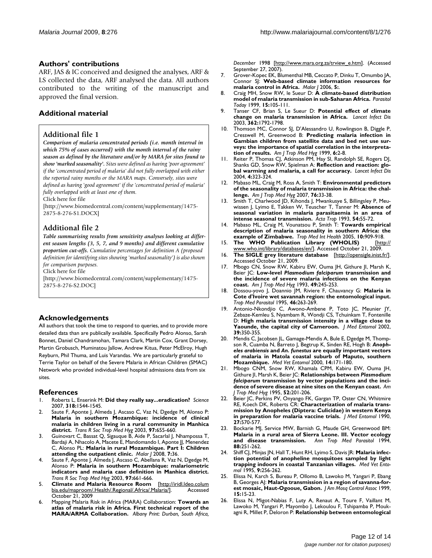#### **Authors' contributions**

ARF, JAS & IC conceived and designed the analyses, ARF & LS collected the data, ARF analysed the data. All authors contributed to the writing of the manuscript and approved the final version.

## **Additional material**

#### <span id="page-11-25"></span>**Additional file 1**

*Comparison of malaria concentrated periods (i.e. month interval in which 75% of cases occurred) with the month interval of the rainy season as defined by the literature and/or by MARA for sites found to show 'marked seasonality'. Sites were defined as having 'poor agreement' if the 'concentrated period of malaria' did not fully overlapped with either the reported rainy months or the MARA maps. Conversely, sites were defined as having 'good agreement' if the 'concentrated period of malaria' fully overlapped with at least one of them.*

Click here for file

[\[http://www.biomedcentral.com/content/supplementary/1475-](http://www.biomedcentral.com/content/supplementary/1475-2875-8-276-S1.DOCX) 2875-8-276-S1.DOCX]

### <span id="page-11-26"></span>**Additional file 2**

*Table summarising results from sensitivity analyses looking at different season lengths (3, 5, 7, and 9 months) and different cumulative proportion cut-offs. Cumulative percentages for definition A (proposed definition for identifying sites showing 'marked seasonality') is also shown for comparison purposes.*

Click here for file

[\[http://www.biomedcentral.com/content/supplementary/1475-](http://www.biomedcentral.com/content/supplementary/1475-2875-8-276-S2.DOC) 2875-8-276-S2.DOC]

#### **Acknowledgements**

All authors that took the time to respond to queries, and to provide more detailed data than are publically available. Specifically Pedro Alonso, Sarah Bonnet, Daniel Chandramohan, Tamara Clark, Martin Cox, Grant Dorsey, Martin Grobusch, Muminatou Jallow, Andrew Kitua, Peter McElroy, Hugh Reyburn, Phil Thuma, and Luis Varandas. We are particularly grateful to Terrie Taylor on behalf of the Severe Malaria in African Children (SMAC) Network who provided individual-level hospital admissions data from six sites.

#### **References**

- <span id="page-11-0"></span>1. Roberts L, Enserink M: **[Did they really say...eradication?](http://www.ncbi.nlm.nih.gov/entrez/query.fcgi?cmd=Retrieve&db=PubMed&dopt=Abstract&list_uids=18063766)** *Science* 2007, **318:**1544-1545.
- <span id="page-11-1"></span>Saute F, Aponte J, Almeda J, Ascaso C, Vaz N, Dgedge M, Alonso P: **[Malaria in southern Mozambique: incidence of clinical](http://www.ncbi.nlm.nih.gov/entrez/query.fcgi?cmd=Retrieve&db=PubMed&dopt=Abstract&list_uids=16117957) malaria in children living in a rural community in Manhica [district.](http://www.ncbi.nlm.nih.gov/entrez/query.fcgi?cmd=Retrieve&db=PubMed&dopt=Abstract&list_uids=16117957)** *Trans R Soc Trop Med Hyg* 2003, **97:**655-660.
- <span id="page-11-2"></span>3. Guinovart C, Bassat Q, Sigauque B, Aide P, Sacarlal J, Nhampossa T, Bardaji A, Nhacolo A, Macete E, Mandomando I, Aponte JJ, Menendez C, Alonso PL: **[Malaria in rural Mozambique. Part I: Children](http://www.ncbi.nlm.nih.gov/entrez/query.fcgi?cmd=Retrieve&db=PubMed&dopt=Abstract&list_uids=18302770) [attending the outpatient clinic.](http://www.ncbi.nlm.nih.gov/entrez/query.fcgi?cmd=Retrieve&db=PubMed&dopt=Abstract&list_uids=18302770)** *Malar J* 2008, **7:**36.
- <span id="page-11-3"></span>4. Saute F, Aponte J, Almeda J, Ascaso C, Abellana R, Vaz N, Dgedge M, Alonso P: **[Malaria in southern Mozambique: malariometric](http://www.ncbi.nlm.nih.gov/entrez/query.fcgi?cmd=Retrieve&db=PubMed&dopt=Abstract&list_uids=16117958) [indicators and malaria case definition in Manhica district.](http://www.ncbi.nlm.nih.gov/entrez/query.fcgi?cmd=Retrieve&db=PubMed&dopt=Abstract&list_uids=16117958)** *Trans R Soc Trop Med Hyg* 2003, **97:**661-666.
- <span id="page-11-4"></span>5. **Climate and Malaria Resource Room** [[http://iridl.ldeo.colum](http://iridl.ldeo.columbia.edu/maproom/.Health/.Regional/.Africa/.Malaria/) [bia.edu/maproom/.Health/.Regional/.Africa/.Malaria/](http://iridl.ldeo.columbia.edu/maproom/.Health/.Regional/.Africa/.Malaria/)]. Accessed October 21, 2009
- <span id="page-11-5"></span>6. Mapping Malaria Risk in Africa (MARA) Collaboration: **Towards an atlas of malaria risk in Africa. First technical report of the MARA/ARMA Collaboration.** *Albany Print: Durban, South Africa,*

*December* 1998 [[http://www.mara.org.za/trview\\_e.htm\]](http://www.mara.org.za/trview_e.htm). (Accessed September 27, 2007).

- <span id="page-11-6"></span>7. Grover-Kopec EK, Blumenthal MB, Ceccato P, Dinku T, Omumbo JA, Connor SJ: **[Web-based climate information resources for](http://www.ncbi.nlm.nih.gov/entrez/query.fcgi?cmd=Retrieve&db=PubMed&dopt=Abstract&list_uids=16689992) [malaria control in Africa.](http://www.ncbi.nlm.nih.gov/entrez/query.fcgi?cmd=Retrieve&db=PubMed&dopt=Abstract&list_uids=16689992)** *Malar J* 2006, **5:**.
- <span id="page-11-7"></span>8. Craig MH, Snow RW, le Sueur D: **[A climate-based distribution](http://www.ncbi.nlm.nih.gov/entrez/query.fcgi?cmd=Retrieve&db=PubMed&dopt=Abstract&list_uids=10322323) [model of malaria transmission in sub-Saharan Africa.](http://www.ncbi.nlm.nih.gov/entrez/query.fcgi?cmd=Retrieve&db=PubMed&dopt=Abstract&list_uids=10322323)** *Parasitol Today* 1999, **15:**105-111.
- <span id="page-11-8"></span>9. Tanser CF, Brian S, Le Sueur D: **Potential effect of climate change on malaria transmission in Africa.** *Lancet Infect Dis* 2003, **362:**1792-1798.
- <span id="page-11-9"></span>10. Thomson MC, Connor SJ, D'Alessandro U, Rowlingson B, Diggle P, Cresswell M, Greenwood B: **Predicting malaria infection in Gambian children from satellite data and bed net use surveys: the importance of spatial correlation in the interpretation of results.** *Am J Trop Med Hyg* 1999, **6:**2-8.
- Reiter P, Thomas CJ, Atkinson PM, Hay SI, Randolph SE, Rogers DJ, Shanks GD, Snow RW, Spielman A: **[Reflection and reaction: glo](http://www.ncbi.nlm.nih.gov/entrez/query.fcgi?cmd=Retrieve&db=PubMed&dopt=Abstract&list_uids=15172336)[bal warming and malaria, a call for accuracy.](http://www.ncbi.nlm.nih.gov/entrez/query.fcgi?cmd=Retrieve&db=PubMed&dopt=Abstract&list_uids=15172336)** *Lancet Infect Dis* 2004, **4:**323-324.
- <span id="page-11-10"></span>12. Mabaso ML, Craig M, Ross A, Smith T: **[Environmental predictors](http://www.ncbi.nlm.nih.gov/entrez/query.fcgi?cmd=Retrieve&db=PubMed&dopt=Abstract&list_uids=17255225) [of the seasonality of malaria transmission in Africa: the chal](http://www.ncbi.nlm.nih.gov/entrez/query.fcgi?cmd=Retrieve&db=PubMed&dopt=Abstract&list_uids=17255225)[lenge.](http://www.ncbi.nlm.nih.gov/entrez/query.fcgi?cmd=Retrieve&db=PubMed&dopt=Abstract&list_uids=17255225)** *Am J Trop Med Hyg* 2007, **76:**33-38.
- <span id="page-11-11"></span>13. Smith T, Charlwood JD, Kihonda J, Mwankusye S, Billingsley P, Meuwissen J, Lyimo E, Takken W, Teuscher T, Tanner M: **[Absence of](http://www.ncbi.nlm.nih.gov/entrez/query.fcgi?cmd=Retrieve&db=PubMed&dopt=Abstract&list_uids=8103627) [seasonal variation in malaria parasitaemia in an area of](http://www.ncbi.nlm.nih.gov/entrez/query.fcgi?cmd=Retrieve&db=PubMed&dopt=Abstract&list_uids=8103627) [intense seasonal transmission.](http://www.ncbi.nlm.nih.gov/entrez/query.fcgi?cmd=Retrieve&db=PubMed&dopt=Abstract&list_uids=8103627)** *Acta Trop* 1993, **54:**55-72.
- <span id="page-11-12"></span>14. Mabaso ML, Craig M, Vounatsou P, Smith T: **[Towards empirical](http://www.ncbi.nlm.nih.gov/entrez/query.fcgi?cmd=Retrieve&db=PubMed&dopt=Abstract&list_uids=16135199) [description of malaria seasonality in southern Africa: the](http://www.ncbi.nlm.nih.gov/entrez/query.fcgi?cmd=Retrieve&db=PubMed&dopt=Abstract&list_uids=16135199) [example of Zimbabwe.](http://www.ncbi.nlm.nih.gov/entrez/query.fcgi?cmd=Retrieve&db=PubMed&dopt=Abstract&list_uids=16135199)** *Trop Med Int Health* 2005, **10:**909-918.
- <span id="page-11-13"></span>15. The WHO Publication Library (WHOLIS) [www.who.int/library/databases/en/\]](http://www.who.int/library/databases/en/). Accessed October 21, 2009.
- <span id="page-11-14"></span>16. **The SIGLE grey literature database** [[http://opensigle.inist.fr/\]](http://opensigle.inist.fr/). Accessed October 21, 2009.
- <span id="page-11-15"></span>17. Mbogo CN, Snow RW, Kabiru EW, Ouma JH, Githure JI, Marsh K, Beier JC: **Low-level** *Plasmodium falciparum* **[transmission and](http://www.ncbi.nlm.nih.gov/entrez/query.fcgi?cmd=Retrieve&db=PubMed&dopt=Abstract&list_uids=8357087) [the incidence of severe malaria infections on the Kenyan](http://www.ncbi.nlm.nih.gov/entrez/query.fcgi?cmd=Retrieve&db=PubMed&dopt=Abstract&list_uids=8357087) [coast.](http://www.ncbi.nlm.nih.gov/entrez/query.fcgi?cmd=Retrieve&db=PubMed&dopt=Abstract&list_uids=8357087)** *Am J Trop Med Hyg* 1993, **49:**245-253.
- <span id="page-11-18"></span>18. Dossou-yovo J, Doannio JM, Riviere F, Chauvancy G: **[Malaria in](http://www.ncbi.nlm.nih.gov/entrez/query.fcgi?cmd=Retrieve&db=PubMed&dopt=Abstract&list_uids=8826108) [Cote d'Ivoire wet savannah region: the entomological input.](http://www.ncbi.nlm.nih.gov/entrez/query.fcgi?cmd=Retrieve&db=PubMed&dopt=Abstract&list_uids=8826108)** *Trop Med Parasitol* 1995, **46:**263-269.
- <span id="page-11-17"></span>19. Antonio-Nkondjio C, Awono-Ambene P, Toto JC, Meunier JY, Zebaze-Kemleu S, Nyambam R, Wondji CS, Tchuinkam T, Fontenille D: **[High malaria transmission intensity in a village close to](http://www.ncbi.nlm.nih.gov/entrez/query.fcgi?cmd=Retrieve&db=PubMed&dopt=Abstract&list_uids=11931035) [Yaounde, the capital city of Cameroon.](http://www.ncbi.nlm.nih.gov/entrez/query.fcgi?cmd=Retrieve&db=PubMed&dopt=Abstract&list_uids=11931035)** *J Med Entomol* 2002, **39:**350-355.
- <span id="page-11-22"></span>20. Mendis C, Jacobsen JL, Gamage-Mendis A, Bule E, Dgedge M, Thompson R, Cuamba N, Barreto J, Begtrup K, Sinden RE, Hogh B: *Anopheles arabiensis* **and** *An. funestus* **[are equally important vectors](http://www.ncbi.nlm.nih.gov/entrez/query.fcgi?cmd=Retrieve&db=PubMed&dopt=Abstract&list_uids=10872861) [of malaria in Matola coastal suburb of Maputo, southern](http://www.ncbi.nlm.nih.gov/entrez/query.fcgi?cmd=Retrieve&db=PubMed&dopt=Abstract&list_uids=10872861) [Mozambique.](http://www.ncbi.nlm.nih.gov/entrez/query.fcgi?cmd=Retrieve&db=PubMed&dopt=Abstract&list_uids=10872861)** *Med Vet Entomol* 2000, **14:**171-180.
- <span id="page-11-20"></span>21. Mbogo CNM, Snow RW, Khamala CPM, Kabiru EW, Ouma JH, Githure JI, Marsh K, Beier JC: **Relationships between** *Plasmodium falciparum* **[transmission by vector populations and the inci](http://www.ncbi.nlm.nih.gov/entrez/query.fcgi?cmd=Retrieve&db=PubMed&dopt=Abstract&list_uids=7694959)[dence of severe disease at nine sites on the Kenyan coast.](http://www.ncbi.nlm.nih.gov/entrez/query.fcgi?cmd=Retrieve&db=PubMed&dopt=Abstract&list_uids=7694959)** *Am J Trop Med Hyg* 1995, **52:**201-206.
- <span id="page-11-21"></span>22. Beier JC, Perkins PV, Onyango FK, Gargan TP, Oster CN, Whitmire RE, Koech DK, Roberts CR: **[Characterization of malaria trans](http://www.ncbi.nlm.nih.gov/entrez/query.fcgi?cmd=Retrieve&db=PubMed&dopt=Abstract&list_uids=2388233)[mission by Anopheles \(Diptera: Culicidae\) in western Kenya](http://www.ncbi.nlm.nih.gov/entrez/query.fcgi?cmd=Retrieve&db=PubMed&dopt=Abstract&list_uids=2388233) [in preparation for malaria vaccine trials.](http://www.ncbi.nlm.nih.gov/entrez/query.fcgi?cmd=Retrieve&db=PubMed&dopt=Abstract&list_uids=2388233)** *J Med Entomol* 1990, **27:**570-577.
- <span id="page-11-23"></span>23. Bockarie MJ, Service MW, Barnish G, Maude GH, Greenwood BM: **[Malaria in a rural area of Sierra Leone. III. Vector ecology](http://www.ncbi.nlm.nih.gov/entrez/query.fcgi?cmd=Retrieve&db=PubMed&dopt=Abstract&list_uids=7944670) [and disease transmission.](http://www.ncbi.nlm.nih.gov/entrez/query.fcgi?cmd=Retrieve&db=PubMed&dopt=Abstract&list_uids=7944670)** *Ann Trop Med Parasitol* 1994, **88:**251-262.
- <span id="page-11-24"></span>24. Shiff CJ, Minjas JN, Hall T, Hunt RH, Lyimo S, Davis JR: **[Malaria infec](http://www.ncbi.nlm.nih.gov/entrez/query.fcgi?cmd=Retrieve&db=PubMed&dopt=Abstract&list_uids=7548942)[tion potential of anopheline mosquitoes sampled by light](http://www.ncbi.nlm.nih.gov/entrez/query.fcgi?cmd=Retrieve&db=PubMed&dopt=Abstract&list_uids=7548942) [trapping indoors in coastal Tanzanian villages.](http://www.ncbi.nlm.nih.gov/entrez/query.fcgi?cmd=Retrieve&db=PubMed&dopt=Abstract&list_uids=7548942)** *Med Vet Entomol* 1995, **9:**256-262.
- <span id="page-11-19"></span>25. Elissa N, Karch S, Bureau P, Ollomo B, Lawoko M, Yangari P, Ebang B, Georges AJ: **[Malaria transmission in a region of savanna-for](http://www.ncbi.nlm.nih.gov/entrez/query.fcgi?cmd=Retrieve&db=PubMed&dopt=Abstract&list_uids=10342264)[est mosaic, Haut-Ogooue, Gabon.](http://www.ncbi.nlm.nih.gov/entrez/query.fcgi?cmd=Retrieve&db=PubMed&dopt=Abstract&list_uids=10342264)** *J Am Mosq Control Assoc* 1999, **15:**15-23.
- <span id="page-11-16"></span>26. Elissa N, Migot-Nabias F, Luty A, Renaut A, Toure F, Vaillant M, Lawoko M, Yangari P, Mayombo J, Lekoulou F, Tshipamba P, Moukagni R, Millet P, Deloron P: **Relationship between entomological**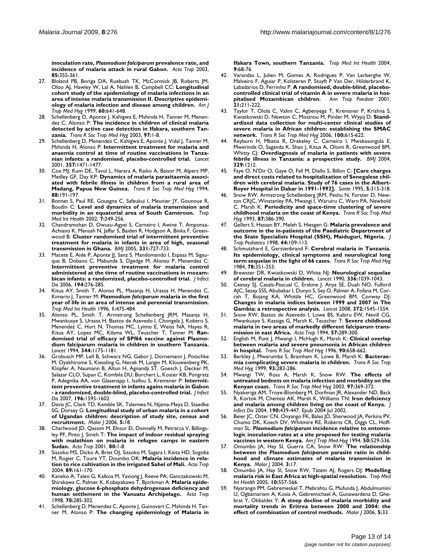**inoculation rate,** *Plasmodium falciparum* **[prevalence rate, and](http://www.ncbi.nlm.nih.gov/entrez/query.fcgi?cmd=Retrieve&db=PubMed&dopt=Abstract&list_uids=12659973) [incidence of malaria attack in rural Gabon.](http://www.ncbi.nlm.nih.gov/entrez/query.fcgi?cmd=Retrieve&db=PubMed&dopt=Abstract&list_uids=12659973)** *Acta Trop* 2003, **85:**355-361.

- <span id="page-12-0"></span>27. Bloland PB, Boriga DA, Ruebush TK, McCormick JB, Roberts JM, Oloo AJ, Hawley W, Lal A, Nahlen B, Campbell CC: **[Longitudinal](http://www.ncbi.nlm.nih.gov/entrez/query.fcgi?cmd=Retrieve&db=PubMed&dopt=Abstract&list_uids=10348241) [cohort study of the epidemiology of malaria infections in an](http://www.ncbi.nlm.nih.gov/entrez/query.fcgi?cmd=Retrieve&db=PubMed&dopt=Abstract&list_uids=10348241) area of intense malaria transmission II. Descriptive epidemi[ology of malaria infection and disease among children.](http://www.ncbi.nlm.nih.gov/entrez/query.fcgi?cmd=Retrieve&db=PubMed&dopt=Abstract&list_uids=10348241)** *Am J Trop Med Hyg* 1999, **60:**641-648.
- <span id="page-12-18"></span>28. Schellenberg D, Aponte J, Kahigwa E, Mshinda H, Tanner M, Menendez C, Alonso P: **[The incidence in children of clinical malaria](http://www.ncbi.nlm.nih.gov/entrez/query.fcgi?cmd=Retrieve&db=PubMed&dopt=Abstract&list_uids=12886791) [detected by active case detection in Ifakara, southern Tan](http://www.ncbi.nlm.nih.gov/entrez/query.fcgi?cmd=Retrieve&db=PubMed&dopt=Abstract&list_uids=12886791)[zania.](http://www.ncbi.nlm.nih.gov/entrez/query.fcgi?cmd=Retrieve&db=PubMed&dopt=Abstract&list_uids=12886791)** *Trans R Soc Trop Med Hyg* 2003, **97:**1-8.
- <span id="page-12-17"></span>29. Schellenberg D, Menendez C, Kahigwa E, Aponte J, Vidal J, Tanner M, Mshinda H, Alonso P: **[Intermittent treatment for malaria and](http://www.ncbi.nlm.nih.gov/entrez/query.fcgi?cmd=Retrieve&db=PubMed&dopt=Abstract&list_uids=11377597) [anaemia control at time of routine vaccinations in Tanza](http://www.ncbi.nlm.nih.gov/entrez/query.fcgi?cmd=Retrieve&db=PubMed&dopt=Abstract&list_uids=11377597)[nian infants: a randomised, placebo-controlled trial.](http://www.ncbi.nlm.nih.gov/entrez/query.fcgi?cmd=Retrieve&db=PubMed&dopt=Abstract&list_uids=11377597)** *Lancet* 2001, **357:**1471-1477.
- <span id="page-12-13"></span>30. Cox MJ, Kum DE, Tavul L, Narara A, Raiko A, Baisor M, Alpers MP, Medley GF, Day KP: **[Dynamics of malaria parasitaemia associ](http://www.ncbi.nlm.nih.gov/entrez/query.fcgi?cmd=Retrieve&db=PubMed&dopt=Abstract&list_uids=8036670)[ated with febrile illness in children from a rural area of](http://www.ncbi.nlm.nih.gov/entrez/query.fcgi?cmd=Retrieve&db=PubMed&dopt=Abstract&list_uids=8036670) [Madang, Papua New Guinea.](http://www.ncbi.nlm.nih.gov/entrez/query.fcgi?cmd=Retrieve&db=PubMed&dopt=Abstract&list_uids=8036670)** *Trans R Soc Trop Med Hyg* 1994, **88:**191-197.
- <span id="page-12-4"></span>31. Bonnet S, Paul RE, Gouagna C, Safeukui I, Meunier JY, Gounoue R, Boudin C: **[Level and dynamics of malaria transmission and](http://www.ncbi.nlm.nih.gov/entrez/query.fcgi?cmd=Retrieve&db=PubMed&dopt=Abstract&list_uids=11903987) [morbidity in an equatorial area of South Cameroon.](http://www.ncbi.nlm.nih.gov/entrez/query.fcgi?cmd=Retrieve&db=PubMed&dopt=Abstract&list_uids=11903987)** *Trop Med Int Health* 2002, **7:**249-256.
- <span id="page-12-7"></span>32. Chandramohan D, Owusu-Agyei S, Carneiro I, Awine T, Amponsa-Achiano K, Mensah N, Jaffar S, Baiden R, Hodgson A, Binka F, Greenwood B: **[Cluster randomised trial of intermittent preventive](http://www.ncbi.nlm.nih.gov/entrez/query.fcgi?cmd=Retrieve&db=PubMed&dopt=Abstract&list_uids=16195288) [treatment for malaria in infants in area of high, seasonal](http://www.ncbi.nlm.nih.gov/entrez/query.fcgi?cmd=Retrieve&db=PubMed&dopt=Abstract&list_uids=16195288) [transmission in Ghana.](http://www.ncbi.nlm.nih.gov/entrez/query.fcgi?cmd=Retrieve&db=PubMed&dopt=Abstract&list_uids=16195288)** *BMJ* 2005, **331:**727-733.
- <span id="page-12-10"></span>33. Macete E, Aide P, Aponte JJ, Sanz S, Mandomando I, Espasa M, Sigauque B, Dobano C, Mabunda S, Dgedge M, Alonso P, Menendez C: **[Intermittent preventive treatment for malaria control](http://www.ncbi.nlm.nih.gov/entrez/query.fcgi?cmd=Retrieve&db=PubMed&dopt=Abstract&list_uids=16826474) administered at the time of routine vaccinations in mozam[bican infants: a randomized, placebo-controlled trial.](http://www.ncbi.nlm.nih.gov/entrez/query.fcgi?cmd=Retrieve&db=PubMed&dopt=Abstract&list_uids=16826474)** *J Infect Dis* 2006, **194:**276-285.
- <span id="page-12-15"></span>34. Kitua AY, Smith T, Alonso PL, Masanja H, Urassa H, Menendez C, Kimario J, Tanner M: *Plasmodium falciparum* **[malaria in the first](http://www.ncbi.nlm.nih.gov/entrez/query.fcgi?cmd=Retrieve&db=PubMed&dopt=Abstract&list_uids=8765455) [year of life in an area of intense and perennial transmission.](http://www.ncbi.nlm.nih.gov/entrez/query.fcgi?cmd=Retrieve&db=PubMed&dopt=Abstract&list_uids=8765455)** *Trop Med Int Health* 1996, **1:**475-484.
- <span id="page-12-16"></span>35. Alonso PL, Smith T, Armstrong Schellenberg JRM, Masanja H, Mwankusye S, Urassa H, Bastos de Azevedo I, Chongela J, Kobero S, Menendez C, Hurt N, Thomas MC, Lyimo E, Weiss NA, Hayes R, Kitua AY, Lopez MC, Kilama WL, Teuscher T, Tanner M: **[Ran](http://www.ncbi.nlm.nih.gov/entrez/query.fcgi?cmd=Retrieve&db=PubMed&dopt=Abstract&list_uids=7934537)[domised trial of efficacy of SPf66 vaccine against Plasmo](http://www.ncbi.nlm.nih.gov/entrez/query.fcgi?cmd=Retrieve&db=PubMed&dopt=Abstract&list_uids=7934537)dium falciparum malaria in children in southern Tanzania.** *Lancet* 1994, **344:**1175-1181.
- 36. Grobusch MP, Lell B, Schwarz NG, Gabor J, Dornemann J, Potschke M, Oyakhirome S, Kiessling G, Necek M, Langin M, Klouwenberg PK, Klopfer A, Naumann B, Altun H, Agnandji ST, Goesch J, Decker M, Salazar CLO, Supan C, Kombila DU, Borchert L, Koster KB, Pongratz P, Adegnika AA, von Glasenapp I, Issifou S, Kremsner P: **[Intermit](http://www.ncbi.nlm.nih.gov/entrez/query.fcgi?cmd=Retrieve&db=PubMed&dopt=Abstract&list_uids=18008242)[tent preventive treatment in infants agains malaria in Gabon](http://www.ncbi.nlm.nih.gov/entrez/query.fcgi?cmd=Retrieve&db=PubMed&dopt=Abstract&list_uids=18008242) [- a randomized, double-blind, placebo-controlled trial.](http://www.ncbi.nlm.nih.gov/entrez/query.fcgi?cmd=Retrieve&db=PubMed&dopt=Abstract&list_uids=18008242)** *J Infect Dis* 2007, **196:**1595-1602.
- <span id="page-12-1"></span>37. Davis JC, Clark TD, Kemble SK, Talemwa N, Njama-Meya D, Staedke SG, Dorsey G: **[Longitudinal study of urban malaria in a cohort](http://www.ncbi.nlm.nih.gov/entrez/query.fcgi?cmd=Retrieve&db=PubMed&dopt=Abstract&list_uids=16551365) [of Ugandan children: description of study site, census and](http://www.ncbi.nlm.nih.gov/entrez/query.fcgi?cmd=Retrieve&db=PubMed&dopt=Abstract&list_uids=16551365) [recruitment.](http://www.ncbi.nlm.nih.gov/entrez/query.fcgi?cmd=Retrieve&db=PubMed&dopt=Abstract&list_uids=16551365)** *Malar J* 2006, **5:**18.
- <span id="page-12-2"></span>38. Charlwood JD, Qassim M, Elnsur EI, Donnelly M, Petrarca V, Billingsley PF, Pinto J, Smith T: **[The impact of indoor residual spraying](http://www.ncbi.nlm.nih.gov/entrez/query.fcgi?cmd=Retrieve&db=PubMed&dopt=Abstract&list_uids=11495638) [with malathion on malaria in refugee camps in eastern](http://www.ncbi.nlm.nih.gov/entrez/query.fcgi?cmd=Retrieve&db=PubMed&dopt=Abstract&list_uids=11495638) [Sudan.](http://www.ncbi.nlm.nih.gov/entrez/query.fcgi?cmd=Retrieve&db=PubMed&dopt=Abstract&list_uids=11495638)** *Acta Trop* 2001, **80:**1-8.
- <span id="page-12-9"></span>39. Sissoko MS, Dicko A, Briet OJ, Sissoko M, Sagara I, Keita HD, Sogoba M, Rogier C, Toure YT, Doumbo OK: **[Malaria incidence in rela](http://www.ncbi.nlm.nih.gov/entrez/query.fcgi?cmd=Retrieve&db=PubMed&dopt=Abstract&list_uids=14732238)[tion to rice cultivation in the irrigated Sahel of Mali.](http://www.ncbi.nlm.nih.gov/entrez/query.fcgi?cmd=Retrieve&db=PubMed&dopt=Abstract&list_uids=14732238)** *Acta Trop* 2004, **89:**161-170.
- <span id="page-12-3"></span>40. Kaneko A, Taleo G, Kalkoa M, Yaviong J, Reeve PA, Ganczakowski M, Shirakawa C, Palmer K, Kobayakawa T, Bjorkman A: **[Malaria epide](http://www.ncbi.nlm.nih.gov/entrez/query.fcgi?cmd=Retrieve&db=PubMed&dopt=Abstract&list_uids=9777715)[miology, glucose 6-phosphate dehydrogenase deficiency and](http://www.ncbi.nlm.nih.gov/entrez/query.fcgi?cmd=Retrieve&db=PubMed&dopt=Abstract&list_uids=9777715) [human settlement in the Vanuatu Archipelago.](http://www.ncbi.nlm.nih.gov/entrez/query.fcgi?cmd=Retrieve&db=PubMed&dopt=Abstract&list_uids=9777715)** *Acta Trop* 1998, **70:**285-302.
- <span id="page-12-19"></span>41. Schellenberg D, Menendez C, Aponte J, Guinovart C, Mshinda H, Tanner M, Alonso P: **[The changing epidemiology of Malaria in](http://www.ncbi.nlm.nih.gov/entrez/query.fcgi?cmd=Retrieve&db=PubMed&dopt=Abstract&list_uids=14728609)**

**[Ifakara Town, southern Tanzania.](http://www.ncbi.nlm.nih.gov/entrez/query.fcgi?cmd=Retrieve&db=PubMed&dopt=Abstract&list_uids=14728609)** *Trop Med Int Health* 2004, **9:**68-76.

- <span id="page-12-11"></span>42. Varandas L, Julien M, Gomes A, Rodrigues P, Van Lerberghe W, Malveiro F, Aguiar P, Kolsteren P, Stuyft P Van Der, Hilderbrand K, Labadarios D, Ferrinho P: **[A randomised, double-blind, placebo](http://www.ncbi.nlm.nih.gov/entrez/query.fcgi?cmd=Retrieve&db=PubMed&dopt=Abstract&list_uids=11579859)[controlled clinical trial of vitamin A in severe malaria in hos](http://www.ncbi.nlm.nih.gov/entrez/query.fcgi?cmd=Retrieve&db=PubMed&dopt=Abstract&list_uids=11579859)[pitalised Mozambican children.](http://www.ncbi.nlm.nih.gov/entrez/query.fcgi?cmd=Retrieve&db=PubMed&dopt=Abstract&list_uids=11579859)** *Ann Trop Paediatr* 2001, **21:**211-222.
- <span id="page-12-5"></span>43. Taylor T, Olola C, Valim C, Agbenyega T, Kremsner P, Krishna S, Kwiatkowski D, Newton C, Missinou M, Pinder M, Wypij D: **[Stand](http://www.ncbi.nlm.nih.gov/entrez/query.fcgi?cmd=Retrieve&db=PubMed&dopt=Abstract&list_uids=16551469)[ardized data collection for multi-center clinical studies of](http://www.ncbi.nlm.nih.gov/entrez/query.fcgi?cmd=Retrieve&db=PubMed&dopt=Abstract&list_uids=16551469) severe malaria in African children: establishing the SMAC [network.](http://www.ncbi.nlm.nih.gov/entrez/query.fcgi?cmd=Retrieve&db=PubMed&dopt=Abstract&list_uids=16551469)** *Trans R Soc Trop Med Hyg* 2006, **100:**615-622.
- <span id="page-12-14"></span>44. Reyburn H, Mbatia R, Drakeley C, Carneiro I, Mwakasungula E, Mwerinde O, Saganda K, Shao J, Kitua A, Olomi R, Greenwood BM, Whitty CJ: **[Overdiagnosis of malaria in patients with severe](http://www.ncbi.nlm.nih.gov/entrez/query.fcgi?cmd=Retrieve&db=PubMed&dopt=Abstract&list_uids=15542534) [febrile illness in Tanzania: a prospective study.](http://www.ncbi.nlm.nih.gov/entrez/query.fcgi?cmd=Retrieve&db=PubMed&dopt=Abstract&list_uids=15542534)** *BMJ* 2004, **329:**1212.
- <span id="page-12-8"></span>45. Faye O, N'Dir O, Gaye O, Fall M, Diallo S, Billon C: **[\[Care charges](http://www.ncbi.nlm.nih.gov/entrez/query.fcgi?cmd=Retrieve&db=PubMed&dopt=Abstract&list_uids=8777546) [and direct costs related to hospitalization of Senegalese chil](http://www.ncbi.nlm.nih.gov/entrez/query.fcgi?cmd=Retrieve&db=PubMed&dopt=Abstract&list_uids=8777546)dren with cerebral malaria. Study of 76 cases in the Albert-[Royer Hospital in Dakar in 1991-1992\].](http://www.ncbi.nlm.nih.gov/entrez/query.fcgi?cmd=Retrieve&db=PubMed&dopt=Abstract&list_uids=8777546)** *Sante* 1995, **5:**315-318.
- 46. Snow RW, Armstrong Schellenberg JRM, Peshu N, Forster D, Newton CRJC, Winstanley PA, Mwangi I, Waruiru C, Warn PA, Newbold C, Marsh K: **[Periodicity and space-time clustering of severe](http://www.ncbi.nlm.nih.gov/entrez/query.fcgi?cmd=Retrieve&db=PubMed&dopt=Abstract&list_uids=8249058) [childhood malaria on the coast of Kenya.](http://www.ncbi.nlm.nih.gov/entrez/query.fcgi?cmd=Retrieve&db=PubMed&dopt=Abstract&list_uids=8249058)** *Trans R Soc Trop Med Hyg* 1993, **87:**386-390.
- <span id="page-12-12"></span>47. Gellert S, Hassan BY, Meleh S, Hiesgen G: **Malaria prevalence and outcome in the in-patients of the Paediatric Department of the State Specialists Hospital (SSH), Maiduguri, Nigeria.** *J Trop Pediatrics* 1998, **44:**109-113.
- 48. Schmutzhard E, Gerstenbrand F: **[Cerebral malaria in Tanzania.](http://www.ncbi.nlm.nih.gov/entrez/query.fcgi?cmd=Retrieve&db=PubMed&dopt=Abstract&list_uids=6380023) [Its epidemiology, clinical symptoms and neurological long](http://www.ncbi.nlm.nih.gov/entrez/query.fcgi?cmd=Retrieve&db=PubMed&dopt=Abstract&list_uids=6380023) [term sequelae in the light of 66 cases.](http://www.ncbi.nlm.nih.gov/entrez/query.fcgi?cmd=Retrieve&db=PubMed&dopt=Abstract&list_uids=6380023)** *Trans R Soc Trop Med Hyg* 1984, **78:**351-353.
- <span id="page-12-6"></span>49. Brewster DR, Kwiatkowski D, White NJ: **[Neurological sequelae](http://www.ncbi.nlm.nih.gov/entrez/query.fcgi?cmd=Retrieve&db=PubMed&dopt=Abstract&list_uids=1977027) [of cerebral malaria in children.](http://www.ncbi.nlm.nih.gov/entrez/query.fcgi?cmd=Retrieve&db=PubMed&dopt=Abstract&list_uids=1977027)** *Lancet* 1990, **336:**1039-1043.
- <span id="page-12-20"></span>50. Ceesay SJ, Casals-Pascual C, Erskine J, Anya SE, Duah NO, Fulford AJC, Sesay SSS, Abubakar I, Dunyo S, Sey O, Palmer A, Fofana M, Corrah T, Bojang KA, Whittle HC, Greenwood BM, Conway DJ: **[Changes in malaria indices between 1999 and 2007 in The](http://www.ncbi.nlm.nih.gov/entrez/query.fcgi?cmd=Retrieve&db=PubMed&dopt=Abstract&list_uids=18984187) [Gambia: a retrospective analysis.](http://www.ncbi.nlm.nih.gov/entrez/query.fcgi?cmd=Retrieve&db=PubMed&dopt=Abstract&list_uids=18984187)** *Lancet* 2008, **372:**1545-1554.
- <span id="page-12-21"></span>Snow RW, Bastos de Azevedo I, Lowe BS, Kabiru EW, Nevill CG, Mwankusye S, Kassiga G, Marsh K, Teuscher T: **[Severe childhood](http://www.ncbi.nlm.nih.gov/entrez/query.fcgi?cmd=Retrieve&db=PubMed&dopt=Abstract&list_uids=7810385) [malaria in two areas of markedly different falciparum trans](http://www.ncbi.nlm.nih.gov/entrez/query.fcgi?cmd=Retrieve&db=PubMed&dopt=Abstract&list_uids=7810385)[mission in east Africa.](http://www.ncbi.nlm.nih.gov/entrez/query.fcgi?cmd=Retrieve&db=PubMed&dopt=Abstract&list_uids=7810385)** *Acta Trop* 1994, **57:**289-300.
- 52. English M, Punt J, Mwangi I, McHugh K, Marsh K: **[Clinical overlap](http://www.ncbi.nlm.nih.gov/entrez/query.fcgi?cmd=Retrieve&db=PubMed&dopt=Abstract&list_uids=9015508) [between malaria and severe pneumonia in African children](http://www.ncbi.nlm.nih.gov/entrez/query.fcgi?cmd=Retrieve&db=PubMed&dopt=Abstract&list_uids=9015508) [in hospital.](http://www.ncbi.nlm.nih.gov/entrez/query.fcgi?cmd=Retrieve&db=PubMed&dopt=Abstract&list_uids=9015508)** *Trans R Soc Trop Med Hyg* 1996, **90:**658-662.
- Berkley J, Mwarumba S, Bramham K, Lowe B, Marsh K: [Bacterae](http://www.ncbi.nlm.nih.gov/entrez/query.fcgi?cmd=Retrieve&db=PubMed&dopt=Abstract&list_uids=10492760)**[mia complicating severe malaria in children.](http://www.ncbi.nlm.nih.gov/entrez/query.fcgi?cmd=Retrieve&db=PubMed&dopt=Abstract&list_uids=10492760)** *Trans R Soc Trop Med Hyg* 1999, **93:**283-286.
- 54. Mwangi TW, Ross A, Marsh K, Snow RW: **[The effects of](http://www.ncbi.nlm.nih.gov/entrez/query.fcgi?cmd=Retrieve&db=PubMed&dopt=Abstract&list_uids=15259458) [untreated bednets on malaria infection and morbidity on the](http://www.ncbi.nlm.nih.gov/entrez/query.fcgi?cmd=Retrieve&db=PubMed&dopt=Abstract&list_uids=15259458) [Kenyan coast.](http://www.ncbi.nlm.nih.gov/entrez/query.fcgi?cmd=Retrieve&db=PubMed&dopt=Abstract&list_uids=15259458)** *Trans R Soc Trop Med Hyg* 2003, **97:**369-372.
- <span id="page-12-22"></span>55. Nyakeriga AM, Troye-Blomberg M, Dorfman JR, Alexander ND, Back R, Kortok M, Chemtai AK, Marsh K, Williams TN: **[Iron deficiency](http://www.ncbi.nlm.nih.gov/entrez/query.fcgi?cmd=Retrieve&db=PubMed&dopt=Abstract&list_uids=15243915) [and malaria among children living on the coast of Kenya.](http://www.ncbi.nlm.nih.gov/entrez/query.fcgi?cmd=Retrieve&db=PubMed&dopt=Abstract&list_uids=15243915)** *J Infect Dis* 2004, **190:**439-447. Epub 2004 Jul 2002.
- <span id="page-12-23"></span>56. Beier JC, Oster CN, Onyango FK, Bales JD, Sherwood JA, Perkins PV, Chumo DK, Koech DV, Whitmire RE, Roberts CR, Diggs CL, Hoffman SL: *Plasmodium falciparum* **[incidence relative to entomo](http://www.ncbi.nlm.nih.gov/entrez/query.fcgi?cmd=Retrieve&db=PubMed&dopt=Abstract&list_uids=7911282)[logic inoculation rates at a site proposed for testing malaria](http://www.ncbi.nlm.nih.gov/entrez/query.fcgi?cmd=Retrieve&db=PubMed&dopt=Abstract&list_uids=7911282) [vaccines in western Kenya.](http://www.ncbi.nlm.nih.gov/entrez/query.fcgi?cmd=Retrieve&db=PubMed&dopt=Abstract&list_uids=7911282)** *Am J Trop Med Hyg* 1994, **50:**529-536.
- <span id="page-12-24"></span>57. Omumbo JA, Hay SI, Guerra CA, Snow RW: **The relationship between the** *Plasmodium falciparum* **[parasite ratio in child](http://www.ncbi.nlm.nih.gov/entrez/query.fcgi?cmd=Retrieve&db=PubMed&dopt=Abstract&list_uids=15202945)[hood and climate estimates of malaria transmission in](http://www.ncbi.nlm.nih.gov/entrez/query.fcgi?cmd=Retrieve&db=PubMed&dopt=Abstract&list_uids=15202945) [Kenya.](http://www.ncbi.nlm.nih.gov/entrez/query.fcgi?cmd=Retrieve&db=PubMed&dopt=Abstract&list_uids=15202945)** *Malar J* 2004, **3:**17.
- <span id="page-12-25"></span>58. Omumbo JA, Hay SI, Snow RW, Tatem AJ, Rogers DJ: **[Modelling](http://www.ncbi.nlm.nih.gov/entrez/query.fcgi?cmd=Retrieve&db=PubMed&dopt=Abstract&list_uids=15941419) [malaria risk in East Africa at high-spatial resolution.](http://www.ncbi.nlm.nih.gov/entrez/query.fcgi?cmd=Retrieve&db=PubMed&dopt=Abstract&list_uids=15941419)** *Trop Med Int Health* 2005, **10:**557-566.
- <span id="page-12-26"></span>59. Nyarango PM, Gebremeskel T, Mebrahtu G, Mufunda J, Abdulmumini U, Ogbamariam A, Kosia A, Gebremichael A, Gunawardena D, Ghebrat Y, Okbaldet Y: **[A steep decline of malaria morbidity and](http://www.ncbi.nlm.nih.gov/entrez/query.fcgi?cmd=Retrieve&db=PubMed&dopt=Abstract&list_uids=16635265) [mortality trends in Eritrea between 2000 and 2004: the](http://www.ncbi.nlm.nih.gov/entrez/query.fcgi?cmd=Retrieve&db=PubMed&dopt=Abstract&list_uids=16635265) [effect of combination of control methods.](http://www.ncbi.nlm.nih.gov/entrez/query.fcgi?cmd=Retrieve&db=PubMed&dopt=Abstract&list_uids=16635265)** *Malar J* 2006, **5:**33.